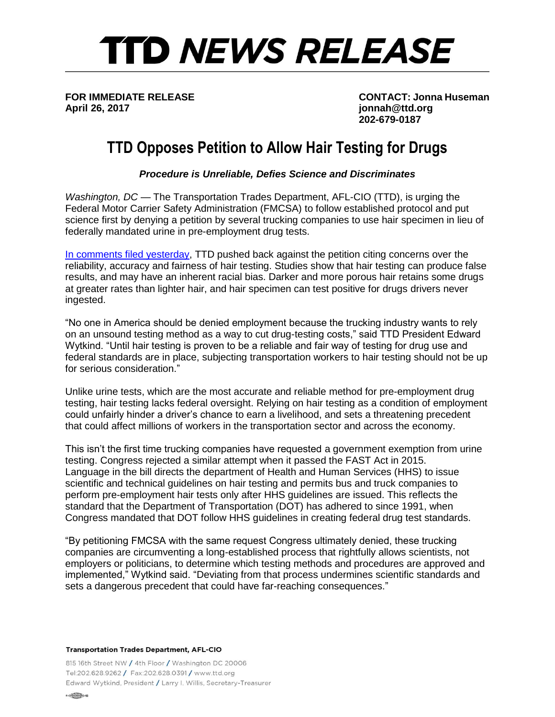## **TTD NEWS RELEASE**

**April 26, 2017 jonnah@ttd.org**

**FOR IMMEDIATE RELEASE CONTACT: Jonna Huseman 202-679-0187**

## **TTD Opposes Petition to Allow Hair Testing for Drugs**

*Procedure is Unreliable, Defies Science and Discriminates*

*Washington, DC* — The Transportation Trades Department, AFL-CIO (TTD), is urging the Federal Motor Carrier Safety Administration (FMCSA) to follow established protocol and put science first by denying a petition by several trucking companies to use hair specimen in lieu of federally mandated urine in pre-employment drug tests.

[In comments filed yesterday,](http://ttd.org/policy/federal-comments/ttd-calls-for-fmcsa-to-reject-hair-testing-petition/) TTD pushed back against the petition citing concerns over the reliability, accuracy and fairness of hair testing. Studies show that hair testing can produce false results, and may have an inherent racial bias. Darker and more porous hair retains some drugs at greater rates than lighter hair, and hair specimen can test positive for drugs drivers never ingested.

"No one in America should be denied employment because the trucking industry wants to rely on an unsound testing method as a way to cut drug-testing costs," said TTD President Edward Wytkind. "Until hair testing is proven to be a reliable and fair way of testing for drug use and federal standards are in place, subjecting transportation workers to hair testing should not be up for serious consideration."

Unlike urine tests, which are the most accurate and reliable method for pre-employment drug testing, hair testing lacks federal oversight. Relying on hair testing as a condition of employment could unfairly hinder a driver's chance to earn a livelihood, and sets a threatening precedent that could affect millions of workers in the transportation sector and across the economy.

This isn't the first time trucking companies have requested a government exemption from urine testing. Congress rejected a similar attempt when it passed the FAST Act in 2015. Language in the bill directs the department of Health and Human Services (HHS) to issue scientific and technical guidelines on hair testing and permits bus and truck companies to perform pre-employment hair tests only after HHS guidelines are issued. This reflects the standard that the Department of Transportation (DOT) has adhered to since 1991, when Congress mandated that DOT follow HHS guidelines in creating federal drug test standards.

"By petitioning FMCSA with the same request Congress ultimately denied, these trucking companies are circumventing a long-established process that rightfully allows scientists, not employers or politicians, to determine which testing methods and procedures are approved and implemented," Wytkind said. "Deviating from that process undermines scientific standards and sets a dangerous precedent that could have far-reaching consequences."

## **Transportation Trades Department, AFL-CIO**

815 16th Street NW / 4th Floor / Washington DC 20006 Tel:202.628.9262 / Fax:202.628.0391 / www.ttd.org Edward Wytkind, President / Larry I. Willis, Secretary-Treasurer